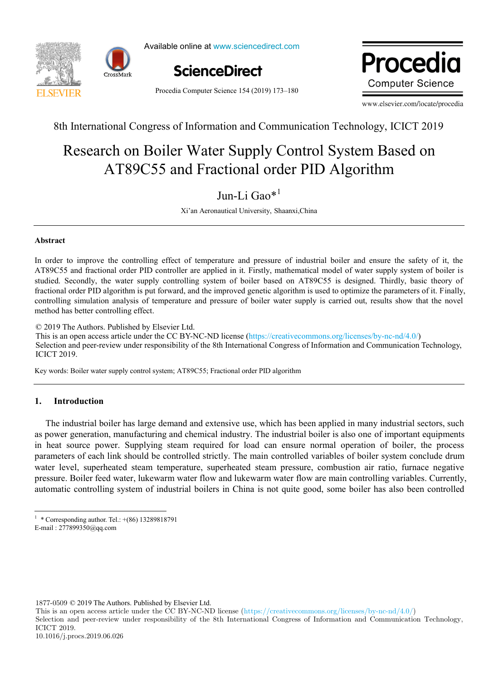



Available online at www.sciencedirect.com



Procedia Computer Science 154 (2019) 173–180

**Wrocadur** *www.elsevier.com/locate/proced Computer Science ia*

www.elsevier.com/locate/procedia

8th International Congress of Information and Communication Technology, ICICT 2019

#### Research on Boiler Water Supply Control System Based on C55 and Fractional order PID Algo Research on Boiler Water Supply Control System Based on AT89C55 and Fractional order PID Algorithm Research on Boiler Water Supply Control System Based on AT89C55 and Fractional order PID Algorithm

Jun-Li Gao $*$ <sup>1</sup>  $J = 16$  $J$ un-Li Uav Jun-Li Gao\*<sup>1</sup>

Xi'an Aeronautical University, Shaanxi,China

# **Abstract**

AT89C55 and fractional order PID controller are applied in it. Firstly, mathematical model of water supply system of boiler is studied. Secondly, the water supply controlling system of boiler based on AT89C55 is designed. Thirdly, basic theory of fractional order PID algorithm is put forward, and the improved genetic algorithm is used to optimize the parameters of it. Finally, controlling simulation analysis of temperature and pressure of boiler water supply is carried out, results show that the novel method has better controlling effect. In order to improve the controlling effect of temperature and pressure of industrial boiler and ensure the safety of it, the

© 2019 The Authors. Published by Elsevier Ltd.

This is an open access article under the CC BY-NC-ND license (https://creativecommons.org/licenses/by-nc-nd/4.0/) Selection and peer-review under responsibility of the 8th International Congress of Information and Communication Technology, ICICT 2019. Peer-review under responsibility of organizing committee of the 8th International Congress of Information and Communication

Keywords: "Internet+", intangible cultural heritage, innovative model; Key words: Boiler water supply control system; AT89C55; Fractional order PID algorithm  $K_{\rm eff}$  words: Boiler water supply control system; AT89C55; Fractional order PID algorithm

# **1. Introduction**

 \* a About the authority of the authority and the shand development of the shand of the shandler of Suzhong, Stationality, Indianality, Indianality, Indianality, Indianality, Indianality, Indianality, Indianality, Indianality, as power generation, manufacturing and chemical industry. The industrial boiler is also one of important equipments in heat source power. Supplying steam required for load can ensure normal operation of boiler, the process parameters of each link should be controlled strictly. The main controlled variables of boiler system conclude drum water level, superheated steam temperature, superheated steam pressure, combustion air ratio, furnace negative pressure. Boiler feed water, lukewarm water flow and lukewarm water flow are main controlling variables. Currently, prossure. Denet four which, throwing which is the discussion which he was many contenting thrusteed. Currently, automatic controlling system of industrial boilers in China is not quite good, some boiler has also been controlled The industrial boiler has large demand and extensive use, which has been applied in many industrial sectors, such

1877-0509 © 2019 The Authors. Published by Elsevier Ltd.

This is an open access article under the CC BY-NC-ND license (https://creativecommons.org/licenses/by-nc-nd/4.0/)

Selection and peer-review under responsibility of the 8th International Congress of Information and Communication Technology, ICICT 2019.

 $\frac{1}{1}$  \* Corresponding author. Tel.: +(86) 13289818791 <sup>1</sup> \* Corresponding author. Tel.: +(86) 13289818791<br>E-mail : 277899350@qq.com

E-mail : 277899350@qq.com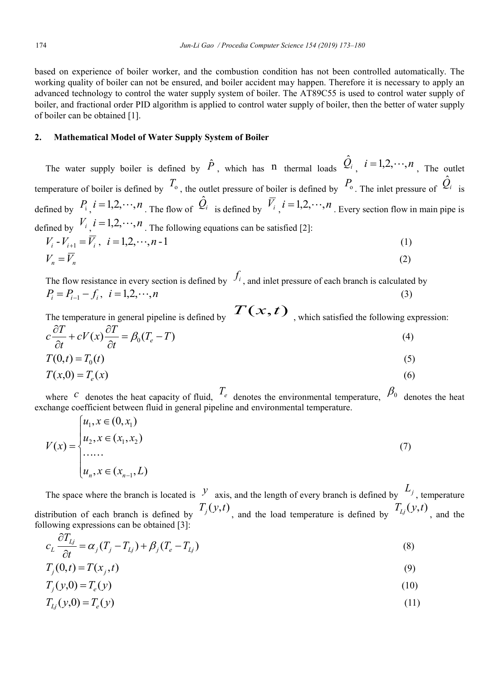based on experience of boiler worker, and the combustion condition has not been controlled automatically. The working quality of boiler can not be ensured, and boiler accident may happen. Therefore it is necessary to apply an advanced technology to control the water supply system of boiler. The AT89C55 is used to control water supply of boiler, and fractional order PID algorithm is applied to control water supply of boiler, then the better of water supply of boiler can be obtained [1].

## **2. Mathematical Model of Water Supply System of Boiler**

The water supply boiler is defined by  $\hat{P}$ , which has n thermal loads  $\hat{Q}_i$ ,  $i=1,2,\dots,n$ , The outlet temperature of boiler is defined by  $T_0$ , the outlet pressure of boiler is defined by  $P_0$ . The inlet pressure of  $\hat{Q}_i$  is defined by  $P_i$ ,  $i = 1, 2, \dots, n$ . The flow of  $\hat{Q}_i$  is defined by  $\overline{V}_i$ ,  $i = 1, 2, \dots, n$ . Every section flow in main pipe is defined by  $V_i$ ,  $i = 1,2,\dots,n$ . The following equations can be satisfied [2]:  $V_i - V_{i+1} = \overline{V}_i$ ,  $i = 1, 2, \dots, n-1$  (1)  $V_n = \overline{V_n}$  (2)

The flow resistance in every section is defined by  $f_i$ , and inlet pressure of each branch is calculated by  $P_i = P_{i-1} - f_i$ ,  $i = 1,2,\dots,n$  (3)

The temperature in general pipeline is defined by  $T(x, t)$ , which satisfied the following expression:

$$
c\frac{\partial T}{\partial t} + cV(x)\frac{\partial T}{\partial t} = \beta_0(T_e - T)
$$
\n(4)

$$
T(0,t) = T_0(t)
$$
\n(5)  
\n
$$
T(x,0) = T_e(x)
$$
\n(6)

where 
$$
c
$$
 denotes the heat capacity of fluid,  $T_e$  denotes the environmental temperature,  $\beta_0$  denotes the heat

$$
V(x) = \begin{cases} u_1, x \in (0, x_1) \\ u_2, x \in (x_1, x_2) \\ \dots \\ u_n, x \in (x_{n-1}, L) \end{cases}
$$
 (7)

exchange coefficient between fluid in general pipeline and environmental temperature.

The space where the branch is located is  $\mathcal{Y}$  axis, and the length of every branch is defined by  $L_j$ , temperature distribution of each branch is defined by  $T_j(y,t)$ , and the load temperature is defined by  $T_{L_j}(y,t)$ , and the following expressions can be obtained [3]:

$$
c_{L} \frac{\partial T_{Lj}}{\partial t} = \alpha_{j} (T_{j} - T_{Lj}) + \beta_{j} (T_{e} - T_{Lj})
$$
\n(8)

$$
T_j(0,t) = T(x_j,t) \tag{9}
$$

$$
T_j(y,0) = T_e(y) \tag{10}
$$

$$
T_{Lj}(y,0) = T_e(y) \tag{11}
$$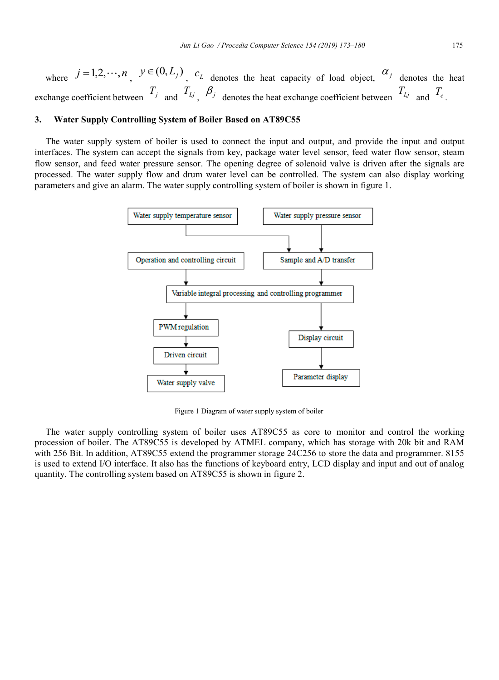where  $j = 1, 2, \dots, n$ ,  $y \in (0, L_j)$ ,  $c_j$  denotes the heat capacity of load object,  $\alpha_j$  denotes the heat exchange coefficient between  $T_j$  and  $T_{Lj}$ ,  $\beta_j$  denotes the heat exchange coefficient between  $T_{Lj}$  and  $T_e$ .

### **3. Water Supply Controlling System of Boiler Based on AT89C55**

The water supply system of boiler is used to connect the input and output, and provide the input and output interfaces. The system can accept the signals from key, package water level sensor, feed water flow sensor, steam flow sensor, and feed water pressure sensor. The opening degree of solenoid valve is driven after the signals are processed. The water supply flow and drum water level can be controlled. The system can also display working parameters and give an alarm. The water supply controlling system of boiler is shown in figure 1.



Figure 1 Diagram of water supply system of boiler

The water supply controlling system of boiler uses AT89C55 as core to monitor and control the working procession of boiler. The AT89C55 is developed by ATMEL company, which has storage with 20k bit and RAM with 256 Bit. In addition, AT89C55 extend the programmer storage 24C256 to store the data and programmer. 8155 is used to extend I/O interface. It also has the functions of keyboard entry, LCD display and input and out of analog quantity. The controlling system based on AT89C55 is shown in figure 2.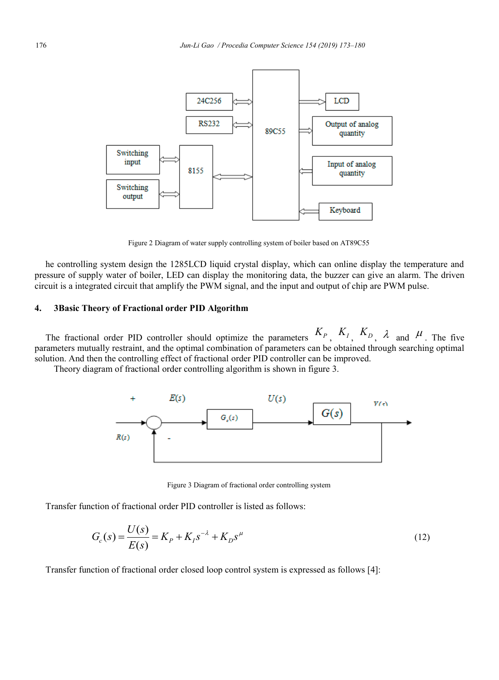

Figure 2 Diagram of water supply controlling system of boiler based on AT89C55

he controlling system design the 1285LCD liquid crystal display, which can online display the temperature and pressure of supply water of boiler, LED can display the monitoring data, the buzzer can give an alarm. The driven circuit is a integrated circuit that amplify the PWM signal, and the input and output of chip are PWM pulse.

## **4. 3Basic Theory of Fractional order PID Algorithm**

The fractional order PID controller should optimize the parameters  $K_P$ ,  $K_I$ ,  $K_D$ ,  $\lambda$  and  $\mu$ . The five parameters mutually restraint, and the optimal combination of parameters can be obtained through searching optimal solution. And then the controlling effect of fractional order PID controller can be improved.

Theory diagram of fractional order controlling algorithm is shown in figure 3.



Figure 3 Diagram of fractional order controlling system

Transfer function of fractional order PID controller is listed as follows:

$$
G_c(s) = \frac{U(s)}{E(s)} = K_p + K_1 s^{-\lambda} + K_D s^{\mu}
$$
\n(12)

Transfer function of fractional order closed loop control system is expressed as follows [4]: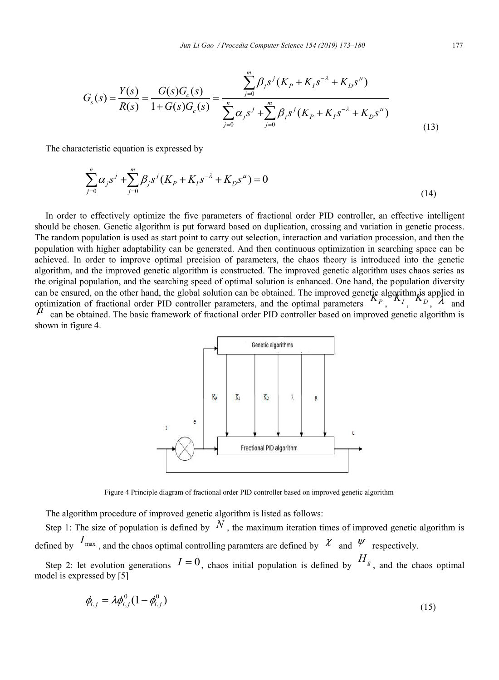$$
G_s(s) = \frac{Y(s)}{R(s)} = \frac{G(s)G_c(s)}{1 + G(s)G_c(s)} = \frac{\sum_{j=0}^{m} \beta_j s^j (K_p + K_j s^{-\lambda} + K_p s^{\mu})}{\sum_{j=0}^{n} \alpha_j s^j + \sum_{j=0}^{m} \beta_j s^j (K_p + K_j s^{-\lambda} + K_p s^{\mu})}
$$
(13)

The characteristic equation is expressed by

$$
\sum_{j=0}^{n} \alpha_j s^j + \sum_{j=0}^{m} \beta_j s^j (K_p + K_j s^{-\lambda} + K_p s^{\mu}) = 0
$$
\n(14)

In order to effectively optimize the five parameters of fractional order PID controller, an effective intelligent should be chosen. Genetic algorithm is put forward based on duplication, crossing and variation in genetic process. The random population is used as start point to carry out selection, interaction and variation procession, and then the population with higher adaptability can be generated. And then continuous optimization in searching space can be achieved. In order to improve optimal precision of parameters, the chaos theory is introduced into the genetic algorithm, and the improved genetic algorithm is constructed. The improved genetic algorithm uses chaos series as the original population, and the searching speed of optimal solution is enhanced. One hand, the population diversity can be ensured, on the other hand, the global solution can be obtained. The improved genetic algorithm is applied in  $\alpha$  optimization of fractional order PID controller parameters, and the optimal parameters  $\mathbf{X}_{P}$ ,  $\mathbf{X}_{I}$ ,  $\mathbf{X}_{D}$ ,  $\lambda$  and  $\alpha$  $\mu$  can be obtained. The basic framework of fractional order PID controller based on improved genetic algorithm is shown in figure 4.



Figure 4 Principle diagram of fractional order PID controller based on improved genetic algorithm

The algorithm procedure of improved genetic algorithm is listed as follows:

Step 1: The size of population is defined by  $N$ , the maximum iteration times of improved genetic algorithm is defined by  $I_{\text{max}}$ , and the chaos optimal controlling paramters are defined by  $\chi$  and  $\psi$  respectively. Step 2: let evolution generations  $I=0$ , chaos initial population is defined by  $H_g$ , and the chaos optimal

model is expressed by [5]

$$
\phi_{i,j} = \lambda \phi_{i,j}^0 (1 - \phi_{i,j}^0)
$$
\n(15)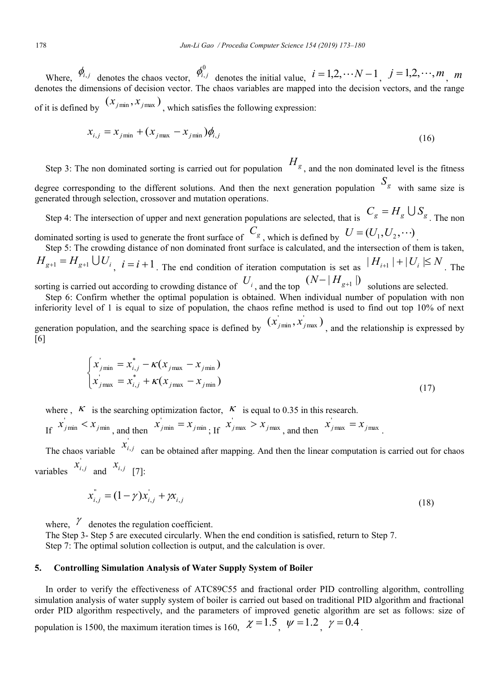Where,  $\phi_{i,j}$  denotes the chaos vector,  $\phi_{i,j}^0$  denotes the initial value,  $i = 1, 2, \dots N-1$ ,  $j = 1, 2, \dots, m$ , *m* denotes the dimensions of decision vector. The chaos variables are mapped into the decision vectors, and the range of it is defined by  $(x_{j\text{min}}, x_{j\text{max}})$ , which satisfies the following expression:

$$
x_{i,j} = x_{j\min} + (x_{j\max} - x_{j\min})\phi_{i,j}
$$
\n(16)

Step 3: The non dominated sorting is carried out for population  $H_g$ , and the non dominated level is the fitness degree corresponding to the different solutions. And then the next generation population  $S_g$  with same size is generated through selection, crossover and mutation operations.

Step 4: The intersection of upper and next generation populations are selected, that is  $C_g = H_g \cup S_g$ . The non dominated sorting is used to generate the front surface of  $C_g$ , which is defined by  $U = (U_1, U_2, \cdots)$ .

Step 5: The crowding distance of non dominated front surface is calculated, and the intersection of them is taken,  $H_{g+1} = H_{g+1} \cup U_i$ ,  $i = i + 1$ . The end condition of iteration computation is set as  $|H_{i+1}| + |U_i| \leq N$ . The sorting is carried out according to crowding distance of  $U_i$ , and the top  $(N - |H_{g+1}|)$  solutions are selected.

Step 6: Confirm whether the optimal population is obtained. When individual number of population with non inferiority level of 1 is equal to size of population, the chaos refine method is used to find out top 10% of next generation population, and the searching space is defined by  $(x_{jmin}, x_{jmax})$ , and the relationship is expressed by [6]

$$
\begin{cases}\n x'_{j\min} = x^*_{i,j} - \kappa (x_{j\max} - x_{j\min}) \\
x'_{j\max} = x^*_{i,j} + \kappa (x_{j\max} - x_{j\min})\n\end{cases}
$$
\n(17)

where  $\kappa$  is the searching optimization factor,  $\kappa$  is equal to 0.35 in this research.

If 
$$
x'_{j\min} < x_{j\min}
$$
, and then  $x'_{j\min} = x_{j\min}$ ; If  $x'_{j\max} > x_{j\max}$ , and then  $x'_{j\max} = x_{j\max}$ .

The chaos variable  $x_{i,j}$  can be obtained after mapping. And then the linear computation is carried out for chaos variables  $x_{i,j}$  and  $x_{i,j}$  [7]: '

$$
x_{i,j}^{''} = (1 - \gamma)x_{i,j}^{'} + \gamma x_{i,j}
$$
\n(18)

where,  $\ell$  denotes the regulation coefficient.

The Step 3- Step 5 are executed circularly. When the end condition is satisfied, return to Step 7. Step 7: The optimal solution collection is output, and the calculation is over.

### **5. Controlling Simulation Analysis of Water Supply System of Boiler**

In order to verify the effectiveness of ATC89C55 and fractional order PID controlling algorithm, controlling simulation analysis of water supply system of boiler is carried out based on traditional PID algorithm and fractional order PID algorithm respectively, and the parameters of improved genetic algorithm are set as follows: size of population is 1500, the maximum iteration times is 160,  $\chi = 1.5$ ,  $\psi = 1.2$ ,  $\gamma = 0.4$ .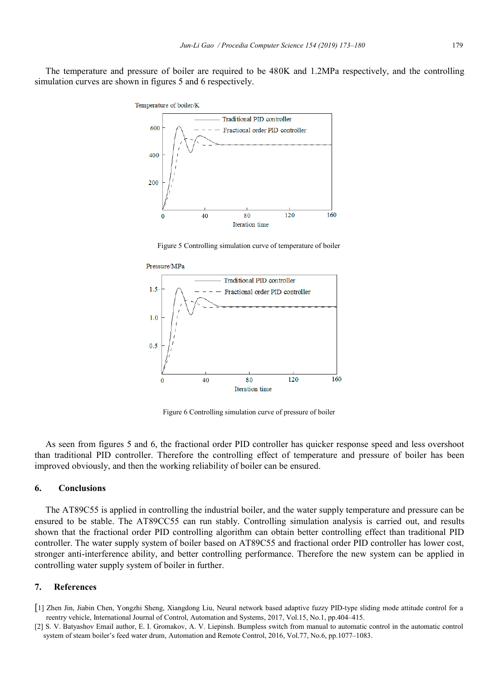The temperature and pressure of boiler are required to be 480K and 1.2MPa respectively, and the controlling simulation curves are shown in figures 5 and 6 respectively.



Figure 5 Controlling simulation curve of temperature of boiler



Figure 6 Controlling simulation curve of pressure of boiler

As seen from figures 5 and 6, the fractional order PID controller has quicker response speed and less overshoot than traditional PID controller. Therefore the controlling effect of temperature and pressure of boiler has been improved obviously, and then the working reliability of boiler can be ensured.

#### **6. Conclusions**

The AT89C55 is applied in controlling the industrial boiler, and the water supply temperature and pressure can be ensured to be stable. The AT89CC55 can run stably. Controlling simulation analysis is carried out, and results shown that the fractional order PID controlling algorithm can obtain better controlling effect than traditional PID controller. The water supply system of boiler based on AT89C55 and fractional order PID controller has lower cost, stronger anti-interference ability, and better controlling performance. Therefore the new system can be applied in controlling water supply system of boiler in further.

#### **7. References**

- [1] Zhen Jin, Jiabin Chen, Yongzhi Sheng, Xiangdong Liu, Neural network based adaptive fuzzy PID-type sliding mode attitude control for a reentry vehicle, International Journal of Control, Automation and Systems, 2017, Vol.15, No.1, pp.404–415.
- [2] S. V. Batyashov Email author, E. I. Gromakov, A. V. Liepinsh. Bumpless switch from manual to automatic control in the automatic control system of steam boiler's feed water drum, Automation and Remote Control, 2016, Vol.77, No.6, pp.1077–1083.